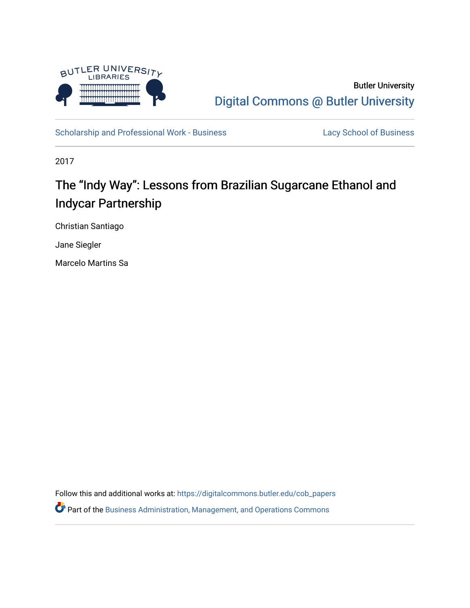

# Butler University [Digital Commons @ Butler University](https://digitalcommons.butler.edu/)

[Scholarship and Professional Work - Business](https://digitalcommons.butler.edu/cob_papers) [Lacy School of Business](https://digitalcommons.butler.edu/cba) Lacy School of Business

2017

# The "Indy Way": Lessons from Brazilian Sugarcane Ethanol and Indycar Partnership

Christian Santiago

Jane Siegler

Marcelo Martins Sa

Follow this and additional works at: [https://digitalcommons.butler.edu/cob\\_papers](https://digitalcommons.butler.edu/cob_papers?utm_source=digitalcommons.butler.edu%2Fcob_papers%2F303&utm_medium=PDF&utm_campaign=PDFCoverPages)  Part of the [Business Administration, Management, and Operations Commons](http://network.bepress.com/hgg/discipline/623?utm_source=digitalcommons.butler.edu%2Fcob_papers%2F303&utm_medium=PDF&utm_campaign=PDFCoverPages)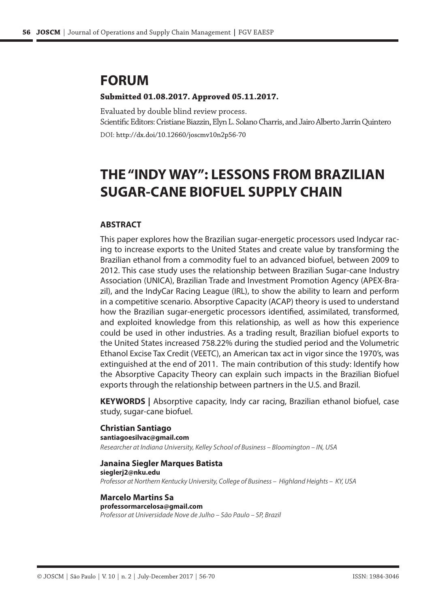# **FORUM**

#### **Submitted 01.08.2017. Approved 05.11.2017.**

Evaluated by double blind review process. Scientific Editors: Cristiane Biazzin, Elyn L. Solano Charris, and Jairo Alberto Jarrín Quintero

DOI: http://dx.doi/10.12660/joscmv10n2p56-70

# **THE "INDY WAY": LESSONS FROM BRAZILIAN SUGAR-CANE BIOFUEL SUPPLY CHAIN**

#### **ABSTRACT**

This paper explores how the Brazilian sugar-energetic processors used Indycar racing to increase exports to the United States and create value by transforming the Brazilian ethanol from a commodity fuel to an advanced biofuel, between 2009 to 2012. This case study uses the relationship between Brazilian Sugar-cane Industry Association (UNICA), Brazilian Trade and Investment Promotion Agency (APEX-Brazil), and the IndyCar Racing League (IRL), to show the ability to learn and perform in a competitive scenario. Absorptive Capacity (ACAP) theory is used to understand how the Brazilian sugar-energetic processors identified, assimilated, transformed, and exploited knowledge from this relationship, as well as how this experience could be used in other industries. As a trading result, Brazilian biofuel exports to the United States increased 758.22% during the studied period and the Volumetric Ethanol Excise Tax Credit (VEETC), an American tax act in vigor since the 1970's, was extinguished at the end of 2011. The main contribution of this study: Identify how the Absorptive Capacity Theory can explain such impacts in the Brazilian Biofuel exports through the relationship between partners in the U.S. and Brazil.

**KEYWORDS |** Absorptive capacity, Indy car racing, Brazilian ethanol biofuel, case study, sugar-cane biofuel.

#### **Christian Santiago santiagoesilvac@gmail.com**

*Researcher at Indiana University, Kelley School of Business – Bloomington – IN, USA*

**Janaina Siegler Marques Batista sieglerj2@nku.edu** *Professor at Northern Kentucky University, College of Business – Highland Heights – KY, USA*

#### **Marcelo Martins Sa professormarcelosa@gmail.com** *Professor at Universidade Nove de Julho – São Paulo – SP, Brazil*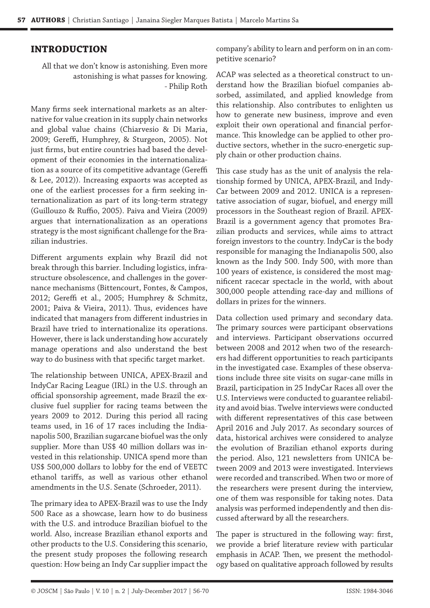#### **INTRODUCTION**

All that we don't know is astonishing. Even more astonishing is what passes for knowing. - Philip Roth

Many firms seek international markets as an alternative for value creation in its supply chain networks and global value chains (Chiarvesio & Di Maria, 2009; Gereffi, Humphrey, & Sturgeon, 2005). Not just firms, but entire countries had based the development of their economies in the internationalization as a source of its competitive advantage (Gereffi & Lee, 2012)). Increasing expaorts was accepted as one of the earliest processes for a firm seeking internationalization as part of its long-term strategy (Guillouzo & Ruffio, 2005). Paiva and Vieira (2009) argues that internationalization as an operations strategy is the most significant challenge for the Brazilian industries.

Different arguments explain why Brazil did not break through this barrier. Including logistics, infrastructure obsolescence, and challenges in the governance mechanisms (Bittencourt, Fontes, & Campos, 2012; Gereffi et al., 2005; Humphrey & Schmitz, 2001; Paiva & Vieira, 2011). Thus, evidences have indicated that managers from different industries in Brazil have tried to internationalize its operations. However, there is lack understanding how accurately manage operations and also understand the best way to do business with that specific target market.

The relationship between UNICA, APEX-Brazil and IndyCar Racing League (IRL) in the U.S. through an official sponsorship agreement, made Brazil the exclusive fuel supplier for racing teams between the years 2009 to 2012. During this period all racing teams used, in 16 of 17 races including the Indianapolis 500, Brazilian sugarcane biofuel was the only supplier. More than US\$ 40 million dollars was invested in this relationship. UNICA spend more than US\$ 500,000 dollars to lobby for the end of VEETC ethanol tariffs, as well as various other ethanol amendments in the U.S. Senate (Schroeder, 2011).

The primary idea to APEX-Brazil was to use the Indy 500 Race as a showcase, learn how to do business with the U.S. and introduce Brazilian biofuel to the world. Also, increase Brazilian ethanol exports and other products to the U.S. Considering this scenario, the present study proposes the following research question: How being an Indy Car supplier impact the company's ability to learn and perform on in an competitive scenario?

ACAP was selected as a theoretical construct to understand how the Brazilian biofuel companies absorbed, assimilated, and applied knowledge from this relationship. Also contributes to enlighten us how to generate new business, improve and even exploit their own operational and financial performance. This knowledge can be applied to other productive sectors, whether in the sucro-energetic supply chain or other production chains.

This case study has as the unit of analysis the relationship formed by UNICA, APEX-Brazil, and Indy-Car between 2009 and 2012. UNICA is a representative association of sugar, biofuel, and energy mill processors in the Southeast region of Brazil. APEX-Brazil is a government agency that promotes Brazilian products and services, while aims to attract foreign investors to the country. IndyCar is the body responsible for managing the Indianapolis 500, also known as the Indy 500. Indy 500, with more than 100 years of existence, is considered the most magnificent racecar spectacle in the world, with about 300,000 people attending race-day and millions of dollars in prizes for the winners.

Data collection used primary and secondary data. The primary sources were participant observations and interviews. Participant observations occurred between 2008 and 2012 when two of the researchers had different opportunities to reach participants in the investigated case. Examples of these observations include three site visits on sugar-cane mills in Brazil, participation in 25 IndyCar Races all over the U.S. Interviews were conducted to guarantee reliability and avoid bias. Twelve interviews were conducted with different representatives of this case between April 2016 and July 2017. As secondary sources of data, historical archives were considered to analyze the evolution of Brazilian ethanol exports during the period. Also, 121 newsletters from UNICA between 2009 and 2013 were investigated. Interviews were recorded and transcribed. When two or more of the researchers were present during the interview, one of them was responsible for taking notes. Data analysis was performed independently and then discussed afterward by all the researchers.

The paper is structured in the following way: first, we provide a brief literature review with particular emphasis in ACAP. Then, we present the methodology based on qualitative approach followed by results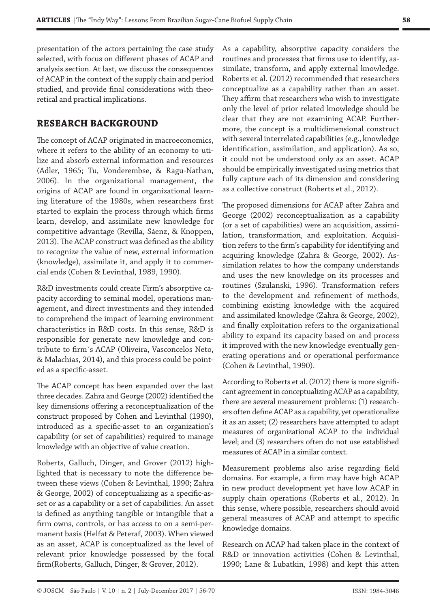presentation of the actors pertaining the case study selected, with focus on different phases of ACAP and analysis section. At last, we discuss the consequences of ACAP in the context of the supply chain and period studied, and provide final considerations with theoretical and practical implications.

### **RESEARCH BACKGROUND**

The concept of ACAP originated in macroeconomics, where it refers to the ability of an economy to utilize and absorb external information and resources (Adler, 1965; Tu, Vonderembse, & Ragu-Nathan, 2006). In the organizational management, the origins of ACAP are found in organizational learning literature of the 1980s, when researchers first started to explain the process through which firms learn, develop, and assimilate new knowledge for competitive advantage (Revilla, Sáenz, & Knoppen, 2013). The ACAP construct was defined as the ability to recognize the value of new, external information (knowledge), assimilate it, and apply it to commercial ends (Cohen & Levinthal, 1989, 1990).

R&D investments could create Firm's absorptive capacity according to seminal model, operations management, and direct investments and they intended to comprehend the impact of learning environment characteristics in R&D costs. In this sense, R&D is responsible for generate new knowledge and contribute to firm`s ACAP (Oliveira, Vasconcelos Neto, & Malachias, 2014), and this process could be pointed as a specific-asset.

The ACAP concept has been expanded over the last three decades. Zahra and George (2002) identified the key dimensions offering a reconceptualization of the construct proposed by Cohen and Levinthal (1990), introduced as a specific-asset to an organization's capability (or set of capabilities) required to manage knowledge with an objective of value creation.

Roberts, Galluch, Dinger, and Grover (2012) highlighted that is necessary to note the difference between these views (Cohen & Levinthal, 1990; Zahra & George, 2002) of conceptualizing as a specific-asset or as a capability or a set of capabilities. An asset is defined as anything tangible or intangible that a firm owns, controls, or has access to on a semi-permanent basis (Helfat & Peteraf, 2003). When viewed as an asset, ACAP is conceptualized as the level of relevant prior knowledge possessed by the focal firm(Roberts, Galluch, Dinger, & Grover, 2012).

As a capability, absorptive capacity considers the routines and processes that firms use to identify, assimilate, transform, and apply external knowledge. Roberts et al. (2012) recommended that researchers conceptualize as a capability rather than an asset. They affirm that researchers who wish to investigate only the level of prior related knowledge should be clear that they are not examining ACAP. Furthermore, the concept is a multidimensional construct with several interrelated capabilities (e.g., knowledge identification, assimilation, and application). As so, it could not be understood only as an asset. ACAP should be empirically investigated using metrics that fully capture each of its dimension and considering as a collective construct (Roberts et al., 2012).

The proposed dimensions for ACAP after Zahra and George (2002) reconceptualization as a capability (or a set of capabilities) were an acquisition, assimilation, transformation, and exploitation. Acquisition refers to the firm's capability for identifying and acquiring knowledge (Zahra & George, 2002). Assimilation relates to how the company understands and uses the new knowledge on its processes and routines (Szulanski, 1996). Transformation refers to the development and refinement of methods, combining existing knowledge with the acquired and assimilated knowledge (Zahra & George, 2002), and finally exploitation refers to the organizational ability to expand its capacity based on and process it improved with the new knowledge eventually generating operations and or operational performance (Cohen & Levinthal, 1990).

According to Roberts et al. (2012) there is more significant agreement in conceptualizing ACAP as a capability, there are several measurement problems: (1) researchers often define ACAP as a capability, yet operationalize it as an asset; (2) researchers have attempted to adapt measures of organizational ACAP to the individual level; and (3) researchers often do not use established measures of ACAP in a similar context.

Measurement problems also arise regarding field domains. For example, a firm may have high ACAP in new product development yet have low ACAP in supply chain operations (Roberts et al., 2012). In this sense, where possible, researchers should avoid general measures of ACAP and attempt to specific knowledge domains.

Research on ACAP had taken place in the context of R&D or innovation activities (Cohen & Levinthal, 1990; Lane & Lubatkin, 1998) and kept this atten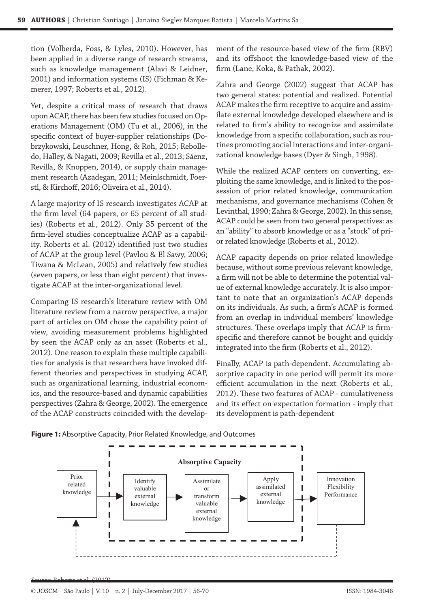tion (Volberda, Foss, & Lyles, 2010). However, has been applied in a diverse range of research streams, such as knowledge management (Alavi & Leidner, 2001) and information systems (IS) (Fichman & Kemerer, 1997; Roberts et al., 2012).

Yet, despite a critical mass of research that draws upon ACAP, there has been few studies focused on Operations Management (OM) (Tu et al., 2006), in the specific context of buyer-supplier relationships (Dobrzykowski, Leuschner, Hong, & Roh, 2015; Rebolledo, Halley, & Nagati, 2009; Revilla et al., 2013; Sáenz, Revilla, & Knoppen, 2014), or supply chain management research (Azadegan, 2011; Meinlschmidt, Foerstl, & Kirchoff, 2016; Oliveira et al., 2014).

A large majority of IS research investigates ACAP at the firm level (64 papers, or 65 percent of all studies) (Roberts et al., 2012). Only 35 percent of the firm-level studies conceptualize ACAP as a capability. Roberts et al. (2012) identified just two studies of ACAP at the group level (Pavlou & El Sawy, 2006; Tiwana & McLean, 2005) and relatively few studies (seven papers, or less than eight percent) that investigate ACAP at the inter-organizational level.

Comparing IS research's literature review with OM literature review from a narrow perspective, a major part of articles on OM chose the capability point of view, avoiding measurement problems highlighted by seen the ACAP only as an asset (Roberts et al., 2012). One reason to explain these multiple capabilities for analysis is that researchers have invoked different theories and perspectives in studying ACAP, **FIGURES** such as organizational learning, industrial economics, and the resource-based and dynamic capabilities perspectives (Zahra & George, 2002). The emergence  $\;$  and its effect on expectatior of the ACAP constructs coincided with the develop-

ment of the resource-based view of the firm (RBV) and its offshoot the knowledge-based view of the firm (Lane, Koka, & Pathak, 2002).

Zahra and George (2002) suggest that ACAP has two general states: potential and realized. Potential ACAP makes the firm receptive to acquire and assimilate external knowledge developed elsewhere and is related to firm's ability to recognize and assimilate knowledge from a specific collaboration, such as routines promoting social interactions and inter-organizational knowledge bases (Dyer & Singh, 1998).

While the realized ACAP centers on converting, exploiting the same knowledge, and is linked to the possession of prior related knowledge, communication mechanisms, and governance mechanisms (Cohen & Levinthal, 1990; Zahra & George, 2002). In this sense, ACAP could be seen from two general perspectives: as an "ability" to absorb knowledge or as a "stock" of prior related knowledge (Roberts et al., 2012).

ACAP capacity depends on prior related knowledge because, without some previous relevant knowledge, a firm will not be able to determine the potential value of external knowledge accurately. It is also important to note that an organization's ACAP depends on its individuals. As such, a firm's ACAP is formed from an overlap in individual members' knowledge structures. These overlaps imply that ACAP is firmspecific and therefore cannot be bought and quickly integrated into the firm (Roberts et al., 2012).

Finally, ACAP is path-dependent. Accumulating absorptive capacity in one period will permit its more efficient accumulation in the next (Roberts et al., 2012). These two features of ACAP - cumulativeness and its effect on expectation formation - imply that its development is path-dependent



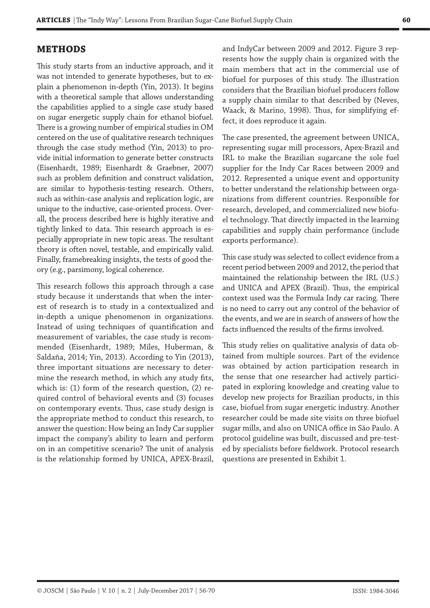#### **METHODS**

This study starts from an inductive approach, and it was not intended to generate hypotheses, but to explain a phenomenon in-depth (Yin, 2013). It begins with a theoretical sample that allows understanding the capabilities applied to a single case study based on sugar energetic supply chain for ethanol biofuel. There is a growing number of empirical studies in OM centered on the use of qualitative research techniques through the case study method (Yin, 2013) to provide initial information to generate better constructs (Eisenhardt, 1989; Eisenhardt & Graebner, 2007) such as problem definition and construct validation, are similar to hypothesis-testing research. Others, such as within-case analysis and replication logic, are unique to the inductive, case-oriented process. Overall, the process described here is highly iterative and tightly linked to data. This research approach is especially appropriate in new topic areas. The resultant theory is often novel, testable, and empirically valid. Finally, framebreaking insights, the tests of good theory (e.g., parsimony, logical coherence.

This research follows this approach through a case study because it understands that when the interest of research is to study in a contextualized and in-depth a unique phenomenon in organizations. Instead of using techniques of quantification and measurement of variables, the case study is recommended (Eisenhardt, 1989; Miles, Huberman, & Saldaña, 2014; Yin, 2013). According to Yin (2013), three important situations are necessary to determine the research method, in which any study fits, which is: (1) form of the research question, (2) required control of behavioral events and (3) focuses on contemporary events. Thus, case study design is the appropriate method to conduct this research, to answer the question: How being an Indy Car supplier impact the company's ability to learn and perform on in an competitive scenario? The unit of analysis is the relationship formed by UNICA, APEX-Brazil,

and IndyCar between 2009 and 2012. Figure 3 represents how the supply chain is organized with the main members that act in the commercial use of biofuel for purposes of this study. The illustration considers that the Brazilian biofuel producers follow a supply chain similar to that described by (Neves, Waack, & Marino, 1998). Thus, for simplifying effect, it does reproduce it again.

The case presented, the agreement between UNICA, representing sugar mill processors, Apex-Brazil and IRL to make the Brazilian sugarcane the sole fuel supplier for the Indy Car Races between 2009 and 2012. Represented a unique event and opportunity to better understand the relationship between organizations from different countries. Responsible for research, developed, and commercialized new biofuel technology. That directly impacted in the learning capabilities and supply chain performance (include exports performance).

This case study was selected to collect evidence from a recent period between 2009 and 2012, the period that maintained the relationship between the IRL (U.S.) and UNICA and APEX (Brazil). Thus, the empirical context used was the Formula Indy car racing. There is no need to carry out any control of the behavior of the events, and we are in search of answers of how the facts influenced the results of the firms involved.

This study relies on qualitative analysis of data obtained from multiple sources. Part of the evidence was obtained by action participation research in the sense that one researcher had actively participated in exploring knowledge and creating value to develop new projects for Brazilian products, in this case, biofuel from sugar energetic industry. Another researcher could be made site visits on three biofuel sugar mills, and also on UNICA office in São Paulo. A protocol guideline was built, discussed and pre-tested by specialists before fieldwork. Protocol research questions are presented in Exhibit 1.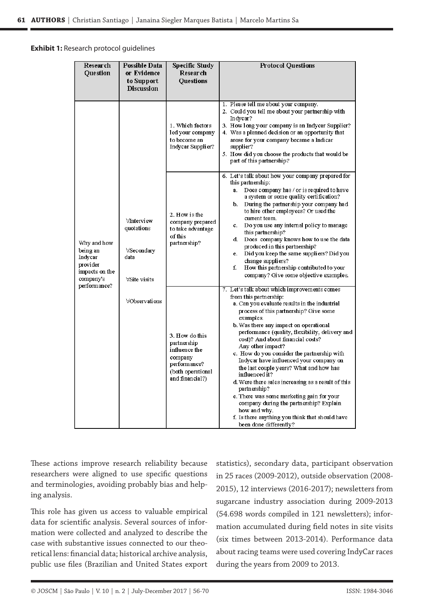# **Exhibit 1:** Research protocol guidelines  **Exhibit 1:**Research protocol guidelines

| Research<br><b>Ouestion</b>                                                                   | <b>Possible Data</b><br>or Evidence<br>to Support<br><b>Discussion</b>                 | <b>Specific Study</b><br>Research<br><b>Ouestions</b>                                                             | <b>Protocol Questions</b>                                                                                                                                                                                                                                                                                                                                                                                                                                                                                                                                                                                                                                                                                                                               |
|-----------------------------------------------------------------------------------------------|----------------------------------------------------------------------------------------|-------------------------------------------------------------------------------------------------------------------|---------------------------------------------------------------------------------------------------------------------------------------------------------------------------------------------------------------------------------------------------------------------------------------------------------------------------------------------------------------------------------------------------------------------------------------------------------------------------------------------------------------------------------------------------------------------------------------------------------------------------------------------------------------------------------------------------------------------------------------------------------|
| Why and how<br>being an<br>Indycar<br>provider<br>impacts on the<br>company's<br>performance? | ∀Interview<br>quotations<br>∀Secondary<br>data<br>∀Site visits<br><b>VObservations</b> | 1. Which factors<br>led your company<br>to become an<br>Indycar Supplier?                                         | 1. Please tell me about your company.<br>2. Could you tell me about your partnership with<br>Indycar?<br>3. How long your company is an Indycar Supplier?<br>4. Was a planned decision or an opportunity that<br>arose for your company became a Indicar<br>supplier?<br>5. How did you choose the products that would be<br>part of this partnership?                                                                                                                                                                                                                                                                                                                                                                                                  |
|                                                                                               |                                                                                        | 2. How is the<br>company prepared<br>to take advantage<br>of this<br>partnership?                                 | 6. Let's talk about how your company prepared for<br>this partnership:<br>Does company has / or is required to have<br>a.<br>a system or some quality certification?<br>During the partnership your company had<br>b.<br>to hire other employees? Or used the<br>current team.<br>Do you use any internal policy to manage<br>c.<br>this partnership?<br>Does company knows how to use the data<br>d.<br>produced in this partnership?<br>Did you keep the same suppliers? Did you<br>e.<br>change suppliers?<br>f.<br>How this partnership contributed to your<br>company? Give some objective examples.                                                                                                                                               |
|                                                                                               |                                                                                        | 3. How do this<br>partnership<br>influence the<br>company<br>performance?<br>(both operational<br>and financial?) | 7. Let's talk about which improvements comes<br>from this partnership:<br>a. Can you evaluate results in the industrial<br>process of this partnership? Give some<br>examples.<br>b. Was there any impact on operational<br>performance (quality, flexibility, delivery and<br>cost)? And about financial costs?<br>Any other impact?<br>c. How do you consider the partnership with<br>Indycar have influenced your company on<br>the last couple years? What and how has<br>influenced it?<br>d. Were there sales increasing as a result of this<br>partnership?<br>e. There was some marketing gain for your<br>company during the partnership? Explain<br>how and why.<br>f. Is there anything you think that should have<br>been done differently? |

These actions improve research reliability because researchers were aligned to use specific questions and terminologies, avoiding probably bias and helping analysis.

This role has given us access to valuable empirical data for scientific analysis. Several sources of information were collected and analyzed to describe the case with substantive issues connected to our theoretical lens: financial data; historical archive analysis, public use files (Brazilian and United States export statistics), secondary data, participant observation in 25 races (2009-2012), outside observation (2008- 2015), 12 interviews (2016-2017); newsletters from sugarcane industry association during 2009-2013 (54.698 words compiled in 121 newsletters); information accumulated during field notes in site visits (six times between 2013-2014). Performance data about racing teams were used covering IndyCar races during the years from 2009 to 2013.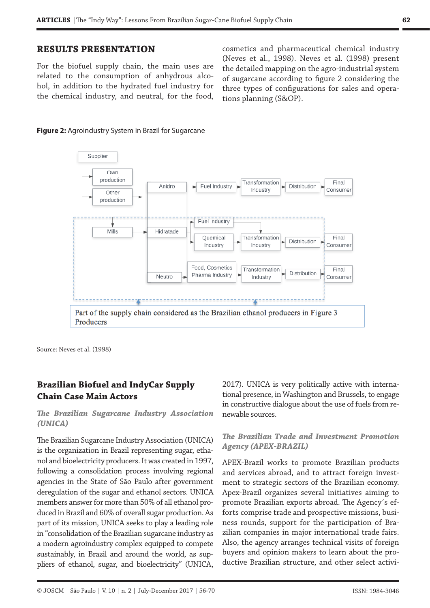## **RESULTS PRESENTATION**

For the biofuel supply chain, the main uses are related to the consumption of anhydrous alcohol, in addition to the hydrated fuel industry for the chemical industry, and neutral, for the food,

cosmetics and pharmaceutical chemical industry (Neves et al., 1998). Neves et al. (1998) present the detailed mapping on the agro-industrial system of sugarcane according to figure 2 considering the three types of configurations for sales and operations planning (S&OP).





Source: Neves et al. (1998)

## **Brazilian Biofuel and IndyCar Supply Chain Case Main Actors**

#### *The Brazilian Sugarcane Industry Association (UNICA)*

The Brazilian Sugarcane Industry Association (UNICA) is the organization in Brazil representing sugar, ethanol and bioelectricity producers. It was created in 1997, following a consolidation process involving regional agencies in the State of São Paulo after government deregulation of the sugar and ethanol sectors. UNICA members answer for more than 50% of all ethanol produced in Brazil and 60% of overall sugar production. As part of its mission, UNICA seeks to play a leading role in "consolidation of the Brazilian sugarcane industry as a modern agroindustry complex equipped to compete sustainably, in Brazil and around the world, as suppliers of ethanol, sugar, and bioelectricity" (UNICA,

2017). UNICA is very politically active with international presence, in Washington and Brussels, to engage in constructive dialogue about the use of fuels from renewable sources.

#### *The Brazilian Trade and Investment Promotion Agency (APEX-BRAZIL)*

APEX-Brazil works to promote Brazilian products and services abroad, and to attract foreign investment to strategic sectors of the Brazilian economy. Apex-Brazil organizes several initiatives aiming to promote Brazilian exports abroad. The Agency´s efforts comprise trade and prospective missions, business rounds, support for the participation of Brazilian companies in major international trade fairs. Also, the agency arranges technical visits of foreign buyers and opinion makers to learn about the productive Brazilian structure, and other select activi-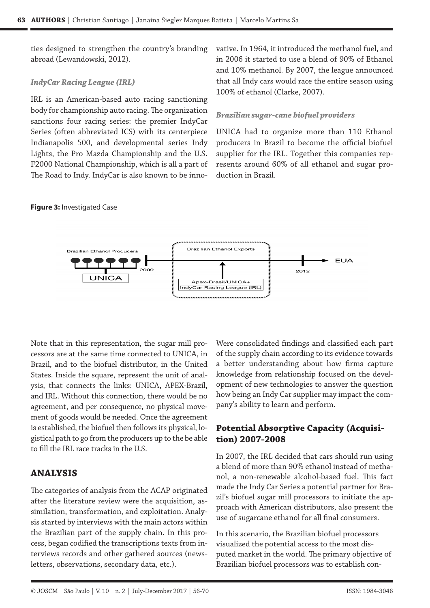ties designed to strengthen the country's branding abroad (Lewandowski, 2012).

#### *IndyCar Racing League (IRL)*

IRL is an American-based auto racing sanctioning body for championship auto racing. The organization sanctions four racing series: the premier IndyCar Series (often abbreviated ICS) with its centerpiece Indianapolis 500, and developmental series Indy Lights, the Pro Mazda Championship and the U.S. F2000 National Championship, which is all a part of The Road to Indy. IndyCar is also known to be inno-

#### **Figure 3:** Investigated Case

vative. In 1964, it introduced the methanol fuel, and in 2006 it started to use a blend of 90% of Ethanol and 10% methanol. By 2007, the league announced that all Indy cars would race the entire season using 100% of ethanol (Clarke, 2007).

#### *Brazilian sugar-cane biofuel providers*

UNICA had to organize more than 110 Ethanol producers in Brazil to become the official biofuel supplier for the IRL. Together this companies represents around 60% of all ethanol and sugar production in Brazil.



Note that in this representation, the sugar mill processors are at the same time connected to UNICA, in Brazil, and to the biofuel distributor, in the United States. Inside the square, represent the unit of analysis, that connects the links: UNICA, APEX-Brazil, and IRL. Without this connection, there would be no agreement, and per consequence, no physical movement of goods would be needed. Once the agreement is established, the biofuel then follows its physical, logistical path to go from the producers up to the be able to fill the IRL race tracks in the U.S.

#### **ANALYSIS**

The categories of analysis from the ACAP originated after the literature review were the acquisition, assimilation, transformation, and exploitation. Analysis started by interviews with the main actors within the Brazilian part of the supply chain. In this process, began codified the transcriptions texts from interviews records and other gathered sources (newsletters, observations, secondary data, etc.).

Were consolidated findings and classified each part of the supply chain according to its evidence towards a better understanding about how firms capture knowledge from relationship focused on the development of new technologies to answer the question how being an Indy Car supplier may impact the company's ability to learn and perform.

#### **Potential Absorptive Capacity (Acquisition) 2007-2008**

In 2007, the IRL decided that cars should run using a blend of more than 90% ethanol instead of methanol, a non-renewable alcohol-based fuel. This fact made the Indy Car Series a potential partner for Brazil's biofuel sugar mill processors to initiate the approach with American distributors, also present the use of sugarcane ethanol for all final consumers.

In this scenario, the Brazilian biofuel processors visualized the potential access to the most disputed market in the world. The primary objective of Brazilian biofuel processors was to establish con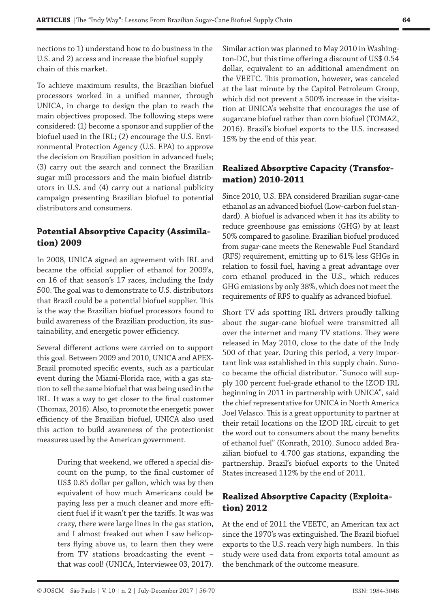nections to 1) understand how to do business in the U.S. and 2) access and increase the biofuel supply chain of this market.

To achieve maximum results, the Brazilian biofuel processors worked in a unified manner, through UNICA, in charge to design the plan to reach the main objectives proposed. The following steps were considered: (1) become a sponsor and supplier of the biofuel used in the IRL; (2) encourage the U.S. Environmental Protection Agency (U.S. EPA) to approve the decision on Brazilian position in advanced fuels; (3) carry out the search and connect the Brazilian sugar mill processors and the main biofuel distributors in U.S. and (4) carry out a national publicity campaign presenting Brazilian biofuel to potential distributors and consumers.

# **Potential Absorptive Capacity (Assimilation) 2009**

In 2008, UNICA signed an agreement with IRL and became the official supplier of ethanol for 2009's, on 16 of that season's 17 races, including the Indy 500. The goal was to demonstrate to U.S. distributors that Brazil could be a potential biofuel supplier. This is the way the Brazilian biofuel processors found to build awareness of the Brazilian production, its sustainability, and energetic power efficiency.

Several different actions were carried on to support this goal. Between 2009 and 2010, UNICA and APEX-Brazil promoted specific events, such as a particular event during the Miami-Florida race, with a gas station to sell the same biofuel that was being used in the IRL. It was a way to get closer to the final customer (Thomaz, 2016). Also, to promote the energetic power efficiency of the Brazilian biofuel, UNICA also used this action to build awareness of the protectionist measures used by the American government.

> During that weekend, we offered a special discount on the pump, to the final customer of US\$ 0.85 dollar per gallon, which was by then equivalent of how much Americans could be paying less per a much cleaner and more efficient fuel if it wasn't per the tariffs. It was was crazy, there were large lines in the gas station, and I almost freaked out when I saw helicopters flying above us, to learn then they were from TV stations broadcasting the event – that was cool! (UNICA, Interviewee 03, 2017).

Similar action was planned to May 2010 in Washington-DC, but this time offering a discount of US\$ 0.54 dollar, equivalent to an additional amendment on the VEETC. This promotion, however, was canceled at the last minute by the Capitol Petroleum Group, which did not prevent a 500% increase in the visitation at UNICA's website that encourages the use of sugarcane biofuel rather than corn biofuel (TOMAZ, 2016). Brazil's biofuel exports to the U.S. increased 15% by the end of this year.

# **Realized Absorptive Capacity (Transformation) 2010-2011**

Since 2010, U.S. EPA considered Brazilian sugar-cane ethanol as an advanced biofuel (Low-carbon fuel standard). A biofuel is advanced when it has its ability to reduce greenhouse gas emissions (GHG) by at least 50% compared to gasoline. Brazilian biofuel produced from sugar-cane meets the Renewable Fuel Standard (RFS) requirement, emitting up to 61% less GHGs in relation to fossil fuel, having a great advantage over corn ethanol produced in the U.S., which reduces GHG emissions by only 38%, which does not meet the requirements of RFS to qualify as advanced biofuel.

Short TV ads spotting IRL drivers proudly talking about the sugar-cane biofuel were transmitted all over the internet and many TV stations. They were released in May 2010, close to the date of the Indy 500 of that year. During this period, a very important link was established in this supply chain. Sunoco became the official distributor. "Sunoco will supply 100 percent fuel-grade ethanol to the IZOD IRL beginning in 2011 in partnership with UNICA", said the chief representative for UNICA in North America Joel Velasco. This is a great opportunity to partner at their retail locations on the IZOD IRL circuit to get the word out to consumers about the many benefits of ethanol fuel" (Konrath, 2010). Sunoco added Brazilian biofuel to 4.700 gas stations, expanding the partnership. Brazil's biofuel exports to the United States increased 112% by the end of 2011.

## **Realized Absorptive Capacity (Exploitation) 2012**

At the end of 2011 the VEETC, an American tax act since the 1970's was extinguished. The Brazil biofuel exports to the U.S. reach very high numbers. In this study were used data from exports total amount as the benchmark of the outcome measure.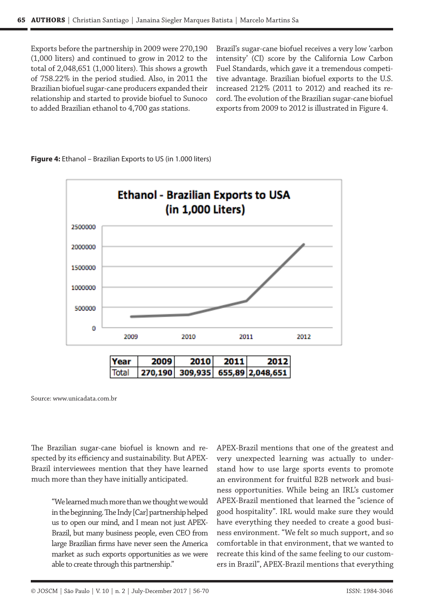Exports before the partnership in 2009 were 270,190 (1,000 liters) and continued to grow in 2012 to the total of 2,048,651 (1,000 liters). This shows a growth of 758.22% in the period studied. Also, in 2011 the Brazilian biofuel sugar-cane producers expanded their relationship and started to provide biofuel to Sunoco to added Brazilian ethanol to 4,700 gas stations.

Brazil's sugar-cane biofuel receives a very low 'carbon intensity' (CI) score by the California Low Carbon Fuel Standards, which gave it a tremendous competitive advantage. Brazilian biofuel exports to the U.S. increased 212% (2011 to 2012) and reached its record. The evolution of the Brazilian sugar-cane biofuel exports from 2009 to 2012 is illustrated in Figure 4.



**Figure 4:** Ethanol – Brazilian Exports to US (in 1.000 liters)

Source: www.unicadata.com.br

The Brazilian sugar-cane biofuel is known and respected by its efficiency and sustainability. But APEX-Brazil interviewees mention that they have learned much more than they have initially anticipated.

> "We learned much more than we thought we would in the beginning. The Indy [Car] partnership helped us to open our mind, and I mean not just APEX-Brazil, but many business people, even CEO from large Brazilian firms have never seen the America market as such exports opportunities as we were able to create through this partnership."

APEX-Brazil mentions that one of the greatest and very unexpected learning was actually to understand how to use large sports events to promote an environment for fruitful B2B network and business opportunities. While being an IRL's customer APEX-Brazil mentioned that learned the "science of good hospitality". IRL would make sure they would have everything they needed to create a good business environment. "We felt so much support, and so comfortable in that environment, that we wanted to recreate this kind of the same feeling to our customers in Brazil", APEX-Brazil mentions that everything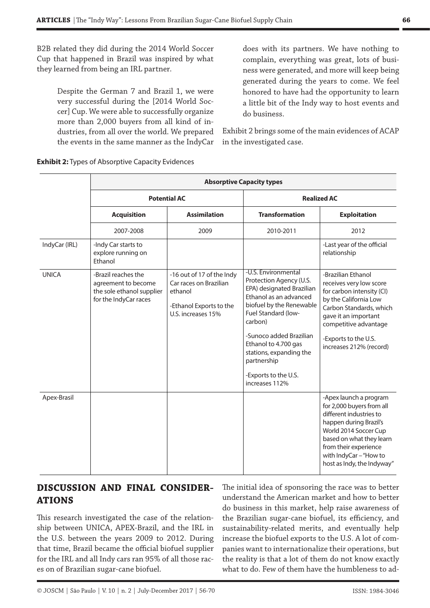B2B related they did during the 2014 World Soccer Cup that happened in Brazil was inspired by what they learned from being an IRL partner.

> Despite the German 7 and Brazil 1, we were very successful during the [2014 World Soccer] Cup. We were able to successfully organize more than 2,000 buyers from all kind of industries, from all over the world. We prepared the events in the same manner as the IndyCar

does with its partners. We have nothing to complain, everything was great, lots of business were generated, and more will keep being generated during the years to come. We feel honored to have had the opportunity to learn a little bit of the Indy way to host events and do business.

Exhibit 2 brings some of the main evidences of ACAP in the investigated case.

|               | <b>Absorptive Capacity types</b>                                                                 |                                                                                                                 |                                                                                                                                                                                                                                                                                                            |                                                                                                                                                                                                                                                |  |  |  |
|---------------|--------------------------------------------------------------------------------------------------|-----------------------------------------------------------------------------------------------------------------|------------------------------------------------------------------------------------------------------------------------------------------------------------------------------------------------------------------------------------------------------------------------------------------------------------|------------------------------------------------------------------------------------------------------------------------------------------------------------------------------------------------------------------------------------------------|--|--|--|
|               | <b>Potential AC</b>                                                                              |                                                                                                                 | <b>Realized AC</b>                                                                                                                                                                                                                                                                                         |                                                                                                                                                                                                                                                |  |  |  |
|               | <b>Acquisition</b>                                                                               | <b>Assimilation</b>                                                                                             | <b>Transformation</b>                                                                                                                                                                                                                                                                                      | <b>Exploitation</b>                                                                                                                                                                                                                            |  |  |  |
|               | 2007-2008                                                                                        | 2009                                                                                                            | 2010-2011                                                                                                                                                                                                                                                                                                  | 2012                                                                                                                                                                                                                                           |  |  |  |
| IndyCar (IRL) | -Indy Car starts to<br>explore running on<br>Ethanol                                             |                                                                                                                 |                                                                                                                                                                                                                                                                                                            | -Last year of the official<br>relationship                                                                                                                                                                                                     |  |  |  |
| <b>UNICA</b>  | -Brazil reaches the<br>agreement to become<br>the sole ethanol supplier<br>for the IndyCar races | -16 out of 17 of the Indy<br>Car races on Brazilian<br>ethanol<br>-Ethanol Exports to the<br>U.S. increases 15% | -U.S. Environmental<br>Protection Agency (U.S.<br>EPA) designated Brazilian<br>Ethanol as an advanced<br>biofuel by the Renewable<br>Fuel Standard (low-<br>carbon)<br>-Sunoco added Brazilian<br>Ethanol to 4.700 gas<br>stations, expanding the<br>partnership<br>-Exports to the U.S.<br>increases 112% | -Brazilian Ethanol<br>receives very low score<br>for carbon intensity (CI)<br>by the California Low<br>Carbon Standards, which<br>gave it an important<br>competitive advantage<br>-Exports to the U.S.<br>increases 212% (record)             |  |  |  |
| Apex-Brasil   |                                                                                                  |                                                                                                                 |                                                                                                                                                                                                                                                                                                            | -Apex launch a program<br>for 2,000 buyers from all<br>different industries to<br>happen during Brazil's<br>World 2014 Soccer Cup<br>based on what they learn<br>from their experience<br>with IndyCar - "How to<br>host as Indy, the Indyway" |  |  |  |

#### **Exhibit 2:** Types of Absorptive Capacity Evidences

## **DISCUSSION AND FINAL CONSIDER-ATIONS**

This research investigated the case of the relationship between UNICA, APEX-Brazil, and the IRL in the U.S. between the years 2009 to 2012. During that time, Brazil became the official biofuel supplier for the IRL and all Indy cars ran 95% of all those races on of Brazilian sugar-cane biofuel.

The initial idea of sponsoring the race was to better understand the American market and how to better do business in this market, help raise awareness of the Brazilian sugar-cane biofuel, its efficiency, and sustainability-related merits, and eventually help increase the biofuel exports to the U.S. A lot of companies want to internationalize their operations, but the reality is that a lot of them do not know exactly what to do. Few of them have the humbleness to ad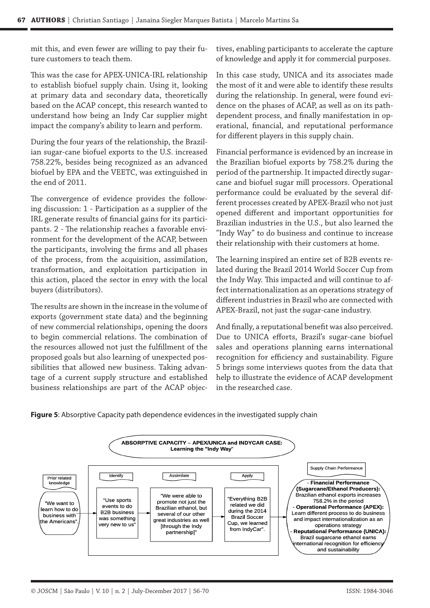mit this, and even fewer are willing to pay their future customers to teach them.

This was the case for APEX-UNICA-IRL relationship to establish biofuel supply chain. Using it, looking at primary data and secondary data, theoretically based on the ACAP concept, this research wanted to understand how being an Indy Car supplier might impact the company's ability to learn and perform.

During the four years of the relationship, the Brazilian sugar-cane biofuel exports to the U.S. increased 758.22%, besides being recognized as an advanced biofuel by EPA and the VEETC, was extinguished in the end of 2011.

The convergence of evidence provides the following discussion: 1 - Participation as a supplier of the IRL generate results of financial gains for its participants. 2 - The relationship reaches a favorable environment for the development of the ACAP, between the participants, involving the firms and all phases of the process, from the acquisition, assimilation, transformation, and exploitation participation in this action, placed the sector in envy with the local buyers (distributors).

The results are shown in the increase in the volume of exports (government state data) and the beginning of new commercial relationships, opening the doors to begin commercial relations. The combination of the resources allowed not just the fulfillment of the proposed goals but also learning of unexpected possibilities that allowed new business. Taking advantage of a current supply structure and established business relationships are part of the ACAP objectives, enabling participants to accelerate the capture of knowledge and apply it for commercial purposes.

In this case study, UNICA and its associates made the most of it and were able to identify these results during the relationship. In general, were found evidence on the phases of ACAP, as well as on its pathdependent process, and finally manifestation in operational, financial, and reputational performance for different players in this supply chain.

Financial performance is evidenced by an increase in the Brazilian biofuel exports by 758.2% during the period of the partnership. It impacted directly sugarcane and biofuel sugar mill processors. Operational performance could be evaluated by the several different processes created by APEX-Brazil who not just opened different and important opportunities for Brazilian industries in the U.S., but also learned the "Indy Way" to do business and continue to increase their relationship with their customers at home.

The learning inspired an entire set of B2B events related during the Brazil 2014 World Soccer Cup from the Indy Way. This impacted and will continue to affect internationalization as an operations strategy of different industries in Brazil who are connected with APEX-Brazil, not just the sugar-cane industry.

And finally, a reputational benefit was also perceived. Due to UNICA efforts, Brazil's sugar-cane biofuel sales and operations planning earns international recognition for efficiency and sustainability. Figure 5 brings some interviews quotes from the data that help to illustrate the evidence of ACAP development in the researched case.



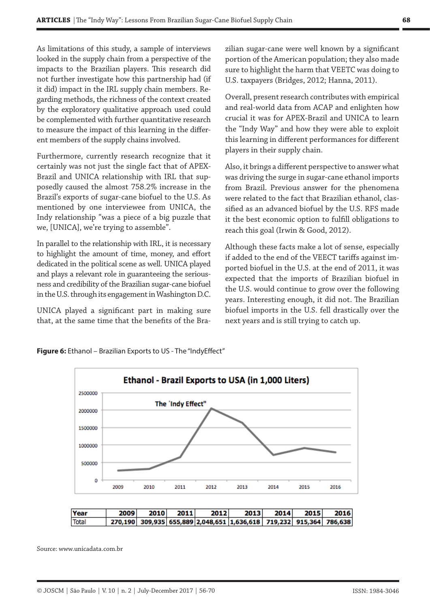As limitations of this study, a sample of interviews looked in the supply chain from a perspective of the impacts to the Brazilian players. This research did not further investigate how this partnership had (if it did) impact in the IRL supply chain members. Regarding methods, the richness of the context created by the exploratory qualitative approach used could be complemented with further quantitative research to measure the impact of this learning in the different members of the supply chains involved.

Furthermore, currently research recognize that it certainly was not just the single fact that of APEX-Brazil and UNICA relationship with IRL that supposedly caused the almost 758.2% increase in the Brazil's exports of sugar-cane biofuel to the U.S. As mentioned by one interviewee from UNICA, the Indy relationship "was a piece of a big puzzle that we, [UNICA], we're trying to assemble".

In parallel to the relationship with IRL, it is necessary to highlight the amount of time, money, and effort dedicated in the political scene as well. UNICA played and plays a relevant role in guaranteeing the seriousness and credibility of the Brazilian sugar-cane biofuel in the U.S. through its engagement in Washington D.C.

UNICA played a significant part in making sure that, at the same time that the benefits of the Brazilian sugar-cane were well known by a significant portion of the American population; they also made sure to highlight the harm that VEETC was doing to U.S. taxpayers (Bridges, 2012; Hanna, 2011).

Overall, present research contributes with empirical and real-world data from ACAP and enlighten how crucial it was for APEX-Brazil and UNICA to learn the "Indy Way" and how they were able to exploit this learning in different performances for different players in their supply chain.

Also, it brings a different perspective to answer what was driving the surge in sugar-cane ethanol imports from Brazil. Previous answer for the phenomena were related to the fact that Brazilian ethanol, classified as an advanced biofuel by the U.S. RFS made it the best economic option to fulfill obligations to reach this goal (Irwin & Good, 2012).

Although these facts make a lot of sense, especially if added to the end of the VEECT tariffs against imported biofuel in the U.S. at the end of 2011, it was expected that the imports of Brazilian biofuel in the U.S. would continue to grow over the following years. Interesting enough, it did not. The Brazilian biofuel imports in the U.S. fell drastically over the next years and is still trying to catch up.





Source: www.unicadata.com.br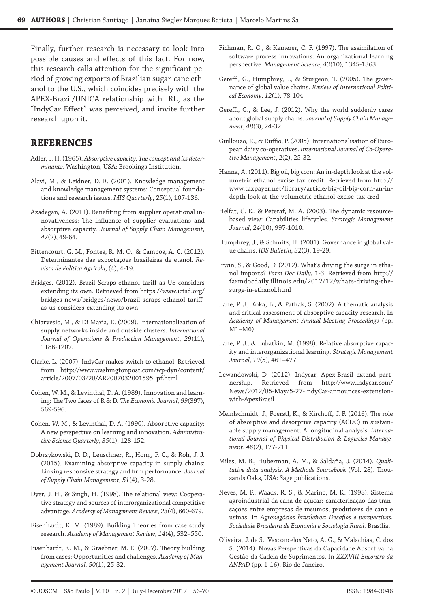Finally, further research is necessary to look into possible causes and effects of this fact. For now, this research calls attention for the significant period of growing exports of Brazilian sugar-cane ethanol to the U.S., which coincides precisely with the APEX-Brazil/UNICA relationship with IRL, as the "IndyCar Effect" was perceived, and invite further research upon it.

#### **REFERENCES**

- Adler, J. H. (1965). *Absorptive capacity: The concept and its determinants*. Washington, USA: Brookings Institution.
- Alavi, M., & Leidner, D. E. (2001). Knowledge management and knowledge management systems: Conceptual foundations and research issues. *MIS Quarterly*, *25*(1), 107-136.
- Azadegan, A. (2011). Benefiting from supplier operational innovativeness: The influence of supplier evaluations and absorptive capacity. *Journal of Supply Chain Management*, *47*(2), 49-64.
- Bittencourt, G. M., Fontes, R. M. O., & Campos, A. C. (2012). Determinantes das exportações brasileiras de etanol. *Revista de Política Agrícola*, (4), 4-19.
- Bridges. (2012). Brazil Scraps ethanol tariff as US considers extending its own. Retrieved from https://www.ictsd.org/ bridges-news/bridges/news/brazil-scraps-ethanol-tariffas-us-considers-extending-its-own
- Chiarvesio, M., & Di Maria, E. (2009). Internationalization of supply networks inside and outside clusters. *International Journal of Operations & Production Management*, *29*(11), 1186-1207.
- Clarke, L. (2007). IndyCar makes switch to ethanol. Retrieved from http://www.washingtonpost.com/wp-dyn/content/ article/2007/03/20/AR2007032001595\_pf.html
- Cohen, W. M., & Levinthal, D. A. (1989). Innovation and learning: The Two faces of R & D. *The Economic Journal*, *99*(397), 569-596.
- Cohen, W. M., & Levinthal, D. A. (1990). Absorptive capacity: A new perspective on learning and innovation. *Administrative Science Quarterly*, *35*(1), 128-152.
- Dobrzykowski, D. D., Leuschner, R., Hong, P. C., & Roh, J. J. (2015). Examining absorptive capacity in supply chains: Linking responsive strategy and firm performance. *Journal of Supply Chain Management*, *51*(4), 3-28.
- Dyer, J. H., & Singh, H. (1998). The relational view: Cooperative strategy and sources of interorganizational competitive advantage. *Academy of Management Review*, *23*(4), 660-679.
- Eisenhardt, K. M. (1989). Building Theories from case study research. *Academy of Management Review*, *14*(4), 532–550.
- Eisenhardt, K. M., & Graebner, M. E. (2007). Theory building from cases: Opportunities and challenges. *Academy of Management Journal, 50*(1), 25-32.
- Fichman, R. G., & Kemerer, C. F. (1997). The assimilation of software process innovations: An organizational learning perspective. *Management Science*, *43*(10), 1345-1363.
- Gereffi, G., Humphrey, J., & Sturgeon, T. (2005). The governance of global value chains. *Review of International Political Economy*, *12*(1), 78-104.
- Gereffi, G., & Lee, J. (2012). Why the world suddenly cares about global supply chains. *Journal of Supply Chain Management*, *48*(3), 24-32.
- Guillouzo, R., & Ruffio, P. (2005). Internationalisation of European dairy co-operatives. *International Journal of Co-Operative Management*, *2*(2), 25-32.
- Hanna, A. (2011). Big oil, big corn: An in-depth look at the volumetric ethanol excise tax credit. Retrieved from http:// www.taxpayer.net/library/article/big-oil-big-corn-an-indepth-look-at-the-volumetric-ethanol-excise-tax-cred
- Helfat, C. E., & Peteraf, M. A. (2003). The dynamic resourcebased view: Capabilities lifecycles. *Strategic Management Journal*, *24*(10), 997-1010.
- Humphrey, J., & Schmitz, H. (2001). Governance in global value chains. *IDS Bulletin*, *32*(3), 19-29.
- Irwin, S., & Good, D. (2012). What's driving the surge in ethanol imports? *Farm Doc Daily*, 1-3. Retrieved from http:// farmdocdaily.illinois.edu/2012/12/whats-driving-thesurge-in-ethanol.html
- Lane, P. J., Koka, B., & Pathak, S. (2002). A thematic analysis and critical assessment of absorptive capacity research. In *Academy of Management Annual Meeting Proceedings* (pp. M1–M6).
- Lane, P. J., & Lubatkin, M. (1998). Relative absorptive capacity and interorganizational learning. *Strategic Management Journal*, *19*(5), 461–477.
- Lewandowski, D. (2012). Indycar, Apex-Brasil extend partnership. Retrieved from http://www.indycar.com/ News/2012/05-May/5-27-IndyCar-announces-extensionwith-ApexBrasil
- Meinlschmidt, J., Foerstl, K., & Kirchoff, J. F. (2016). The role of absorptive and desorptive capacity (ACDC) in sustainable supply management: A longitudinal analysis. *International Journal of Physical Distribution & Logistics Management*, *46*(2), 177-211.
- Miles, M. B., Huberman, A. M., & Saldaña, J. (2014). *Qualitative data analysis. A Methods Sourcebook* (Vol. 28). Thousands Oaks, USA: Sage publications.
- Neves, M. F., Waack, R. S., & Marino, M. K. (1998). Sistema agroindustrial da cana-de-açúcar: caracterização das transações entre empresas de insumos, produtores de cana e usinas. In *Agronegócios brasileiros: Desafios e perspectivas. Sociedade Brasileira de Economia e Sociologia Rural*. Brasília.
- Oliveira, J. de S., Vasconcelos Neto, A. G., & Malachias, C. dos S. (2014). Novas Perspectivas da Capacidade Absortiva na Gestão da Cadeia de Suprimentos. In *XXXVIII Encontro da ANPAD* (pp. 1-16). Rio de Janeiro.